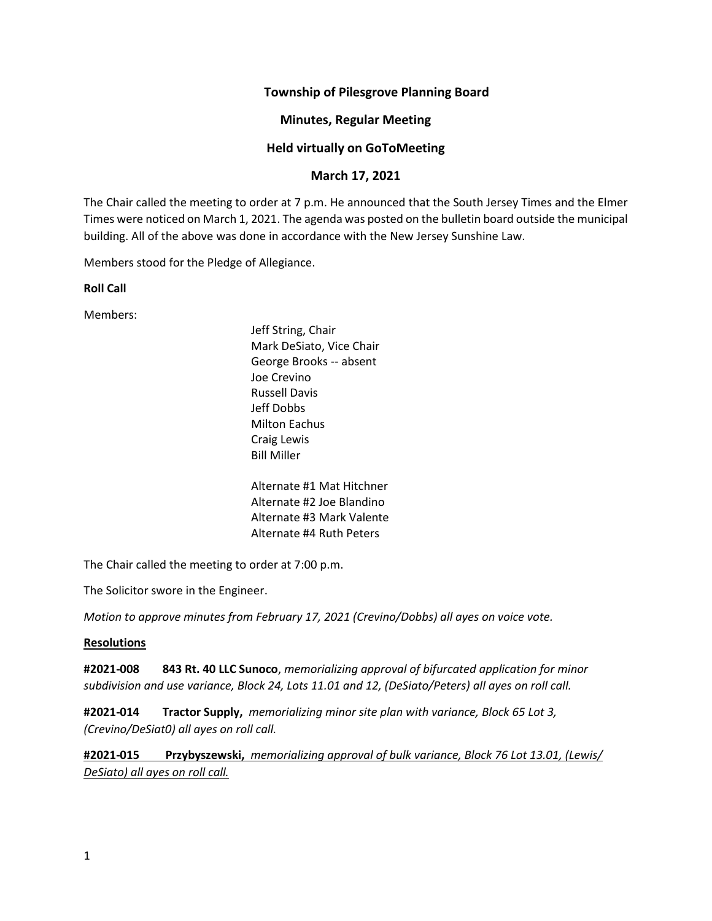## **Township of Pilesgrove Planning Board**

## **Minutes, Regular Meeting**

## **Held virtually on GoToMeeting**

# **March 17, 2021**

The Chair called the meeting to order at 7 p.m. He announced that the South Jersey Times and the Elmer Times were noticed on March 1, 2021. The agenda was posted on the bulletin board outside the municipal building. All of the above was done in accordance with the New Jersey Sunshine Law.

Members stood for the Pledge of Allegiance.

## **Roll Call**

Members:

Jeff String, Chair Mark DeSiato, Vice Chair George Brooks -- absent Joe Crevino Russell Davis Jeff Dobbs Milton Eachus Craig Lewis Bill Miller

Alternate #1 Mat Hitchner Alternate #2 Joe Blandino Alternate #3 Mark Valente Alternate #4 Ruth Peters

The Chair called the meeting to order at 7:00 p.m.

The Solicitor swore in the Engineer.

*Motion to approve minutes from February 17, 2021 (Crevino/Dobbs) all ayes on voice vote.* 

## **Resolutions**

**#2021-008 843 Rt. 40 LLC Sunoco**, *memorializing approval of bifurcated application for minor subdivision and use variance, Block 24, Lots 11.01 and 12, (DeSiato/Peters) all ayes on roll call.*

**#2021-014 Tractor Supply,** *memorializing minor site plan with variance, Block 65 Lot 3, (Crevino/DeSiat0) all ayes on roll call.*

**#2021-015 Przybyszewski,** *memorializing approval of bulk variance, Block 76 Lot 13.01, (Lewis/ DeSiato) all ayes on roll call.*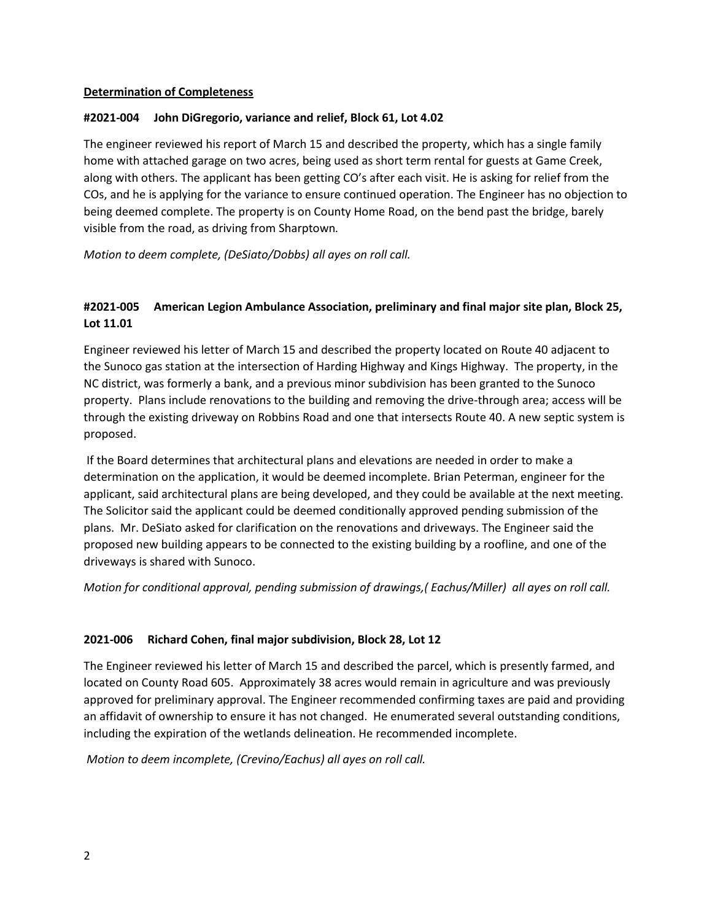### **Determination of Completeness**

## **#2021-004 John DiGregorio, variance and relief, Block 61, Lot 4.02**

The engineer reviewed his report of March 15 and described the property, which has a single family home with attached garage on two acres, being used as short term rental for guests at Game Creek, along with others. The applicant has been getting CO's after each visit. He is asking for relief from the COs, and he is applying for the variance to ensure continued operation. The Engineer has no objection to being deemed complete. The property is on County Home Road, on the bend past the bridge, barely visible from the road, as driving from Sharptown*.*

*Motion to deem complete, (DeSiato/Dobbs) all ayes on roll call.*

# **#2021-005 American Legion Ambulance Association, preliminary and final major site plan, Block 25, Lot 11.01**

Engineer reviewed his letter of March 15 and described the property located on Route 40 adjacent to the Sunoco gas station at the intersection of Harding Highway and Kings Highway. The property, in the NC district, was formerly a bank, and a previous minor subdivision has been granted to the Sunoco property. Plans include renovations to the building and removing the drive-through area; access will be through the existing driveway on Robbins Road and one that intersects Route 40. A new septic system is proposed.

If the Board determines that architectural plans and elevations are needed in order to make a determination on the application, it would be deemed incomplete. Brian Peterman, engineer for the applicant, said architectural plans are being developed, and they could be available at the next meeting. The Solicitor said the applicant could be deemed conditionally approved pending submission of the plans. Mr. DeSiato asked for clarification on the renovations and driveways. The Engineer said the proposed new building appears to be connected to the existing building by a roofline, and one of the driveways is shared with Sunoco.

*Motion for conditional approval, pending submission of drawings,( Eachus/Miller) all ayes on roll call.* 

## **2021-006 Richard Cohen, final major subdivision, Block 28, Lot 12**

The Engineer reviewed his letter of March 15 and described the parcel, which is presently farmed, and located on County Road 605. Approximately 38 acres would remain in agriculture and was previously approved for preliminary approval. The Engineer recommended confirming taxes are paid and providing an affidavit of ownership to ensure it has not changed. He enumerated several outstanding conditions, including the expiration of the wetlands delineation. He recommended incomplete.

*Motion to deem incomplete, (Crevino/Eachus) all ayes on roll call.*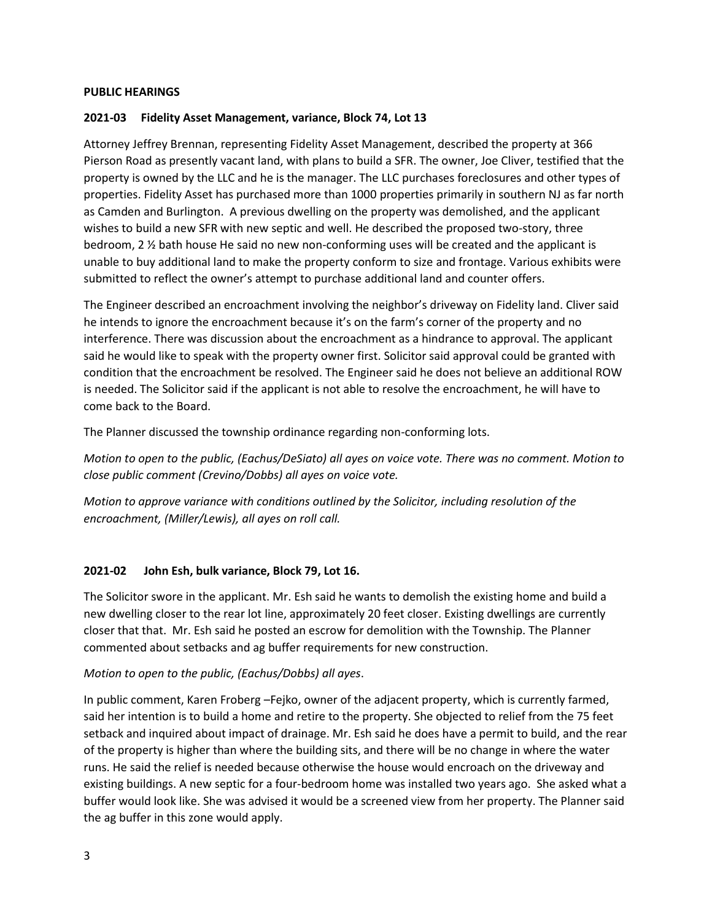### **PUBLIC HEARINGS**

## **2021-03 Fidelity Asset Management, variance, Block 74, Lot 13**

Attorney Jeffrey Brennan, representing Fidelity Asset Management, described the property at 366 Pierson Road as presently vacant land, with plans to build a SFR. The owner, Joe Cliver, testified that the property is owned by the LLC and he is the manager. The LLC purchases foreclosures and other types of properties. Fidelity Asset has purchased more than 1000 properties primarily in southern NJ as far north as Camden and Burlington. A previous dwelling on the property was demolished, and the applicant wishes to build a new SFR with new septic and well. He described the proposed two-story, three bedroom, 2 ½ bath house He said no new non-conforming uses will be created and the applicant is unable to buy additional land to make the property conform to size and frontage. Various exhibits were submitted to reflect the owner's attempt to purchase additional land and counter offers.

The Engineer described an encroachment involving the neighbor's driveway on Fidelity land. Cliver said he intends to ignore the encroachment because it's on the farm's corner of the property and no interference. There was discussion about the encroachment as a hindrance to approval. The applicant said he would like to speak with the property owner first. Solicitor said approval could be granted with condition that the encroachment be resolved. The Engineer said he does not believe an additional ROW is needed. The Solicitor said if the applicant is not able to resolve the encroachment, he will have to come back to the Board.

The Planner discussed the township ordinance regarding non-conforming lots.

*Motion to open to the public, (Eachus/DeSiato) all ayes on voice vote. There was no comment. Motion to close public comment (Crevino/Dobbs) all ayes on voice vote.*

*Motion to approve variance with conditions outlined by the Solicitor, including resolution of the encroachment, (Miller/Lewis), all ayes on roll call.*

## **2021-02 John Esh, bulk variance, Block 79, Lot 16.**

The Solicitor swore in the applicant. Mr. Esh said he wants to demolish the existing home and build a new dwelling closer to the rear lot line, approximately 20 feet closer. Existing dwellings are currently closer that that. Mr. Esh said he posted an escrow for demolition with the Township. The Planner commented about setbacks and ag buffer requirements for new construction.

#### *Motion to open to the public, (Eachus/Dobbs) all ayes*.

In public comment, Karen Froberg –Fejko, owner of the adjacent property, which is currently farmed, said her intention is to build a home and retire to the property. She objected to relief from the 75 feet setback and inquired about impact of drainage. Mr. Esh said he does have a permit to build, and the rear of the property is higher than where the building sits, and there will be no change in where the water runs. He said the relief is needed because otherwise the house would encroach on the driveway and existing buildings. A new septic for a four-bedroom home was installed two years ago. She asked what a buffer would look like. She was advised it would be a screened view from her property. The Planner said the ag buffer in this zone would apply.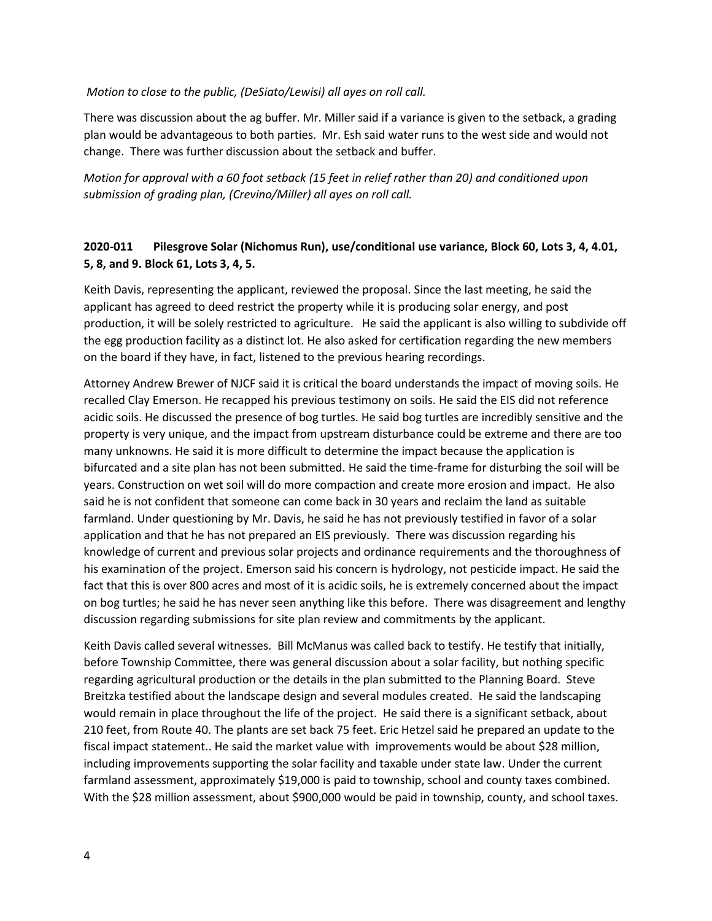### *Motion to close to the public, (DeSiato/Lewisi) all ayes on roll call.*

There was discussion about the ag buffer. Mr. Miller said if a variance is given to the setback, a grading plan would be advantageous to both parties. Mr. Esh said water runs to the west side and would not change. There was further discussion about the setback and buffer.

*Motion for approval with a 60 foot setback (15 feet in relief rather than 20) and conditioned upon submission of grading plan, (Crevino/Miller) all ayes on roll call.*

# **2020-011 Pilesgrove Solar (Nichomus Run), use/conditional use variance, Block 60, Lots 3, 4, 4.01, 5, 8, and 9. Block 61, Lots 3, 4, 5.**

Keith Davis, representing the applicant, reviewed the proposal. Since the last meeting, he said the applicant has agreed to deed restrict the property while it is producing solar energy, and post production, it will be solely restricted to agriculture. He said the applicant is also willing to subdivide off the egg production facility as a distinct lot. He also asked for certification regarding the new members on the board if they have, in fact, listened to the previous hearing recordings.

Attorney Andrew Brewer of NJCF said it is critical the board understands the impact of moving soils. He recalled Clay Emerson. He recapped his previous testimony on soils. He said the EIS did not reference acidic soils. He discussed the presence of bog turtles. He said bog turtles are incredibly sensitive and the property is very unique, and the impact from upstream disturbance could be extreme and there are too many unknowns. He said it is more difficult to determine the impact because the application is bifurcated and a site plan has not been submitted. He said the time-frame for disturbing the soil will be years. Construction on wet soil will do more compaction and create more erosion and impact. He also said he is not confident that someone can come back in 30 years and reclaim the land as suitable farmland. Under questioning by Mr. Davis, he said he has not previously testified in favor of a solar application and that he has not prepared an EIS previously. There was discussion regarding his knowledge of current and previous solar projects and ordinance requirements and the thoroughness of his examination of the project. Emerson said his concern is hydrology, not pesticide impact. He said the fact that this is over 800 acres and most of it is acidic soils, he is extremely concerned about the impact on bog turtles; he said he has never seen anything like this before. There was disagreement and lengthy discussion regarding submissions for site plan review and commitments by the applicant.

Keith Davis called several witnesses. Bill McManus was called back to testify. He testify that initially, before Township Committee, there was general discussion about a solar facility, but nothing specific regarding agricultural production or the details in the plan submitted to the Planning Board. Steve Breitzka testified about the landscape design and several modules created. He said the landscaping would remain in place throughout the life of the project. He said there is a significant setback, about 210 feet, from Route 40. The plants are set back 75 feet. Eric Hetzel said he prepared an update to the fiscal impact statement.. He said the market value with improvements would be about \$28 million, including improvements supporting the solar facility and taxable under state law. Under the current farmland assessment, approximately \$19,000 is paid to township, school and county taxes combined. With the \$28 million assessment, about \$900,000 would be paid in township, county, and school taxes.